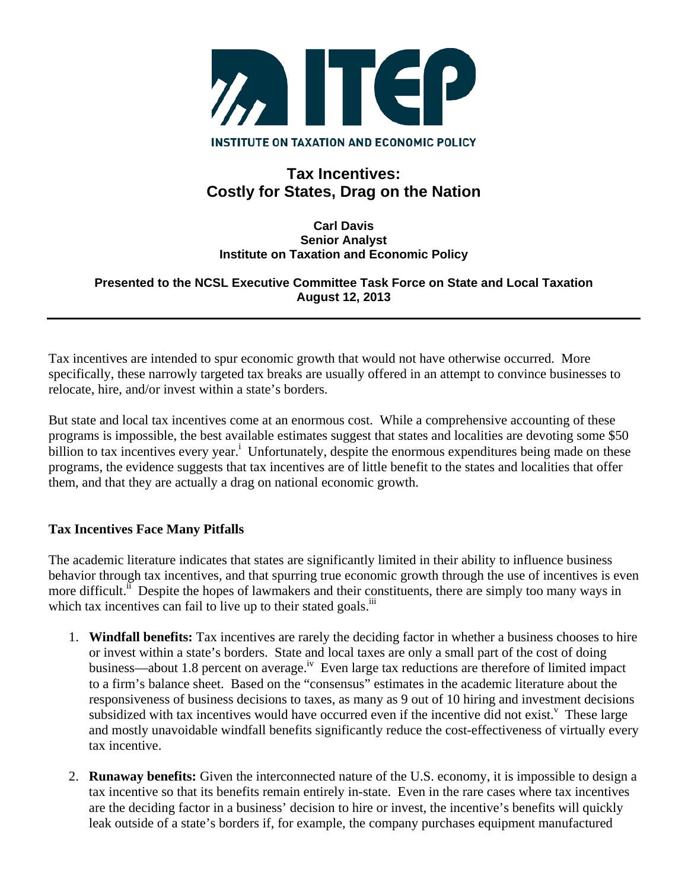

# **Tax Incentives: Costly for States, Drag on the Nation**

#### **Carl Davis Senior Analyst Institute on Taxation and Economic Policy**

### **Presented to the NCSL Executive Committee Task Force on State and Local Taxation August 12, 2013**

Tax incentives are intended to spur economic growth that would not have otherwise occurred. More specifically, these narrowly targeted tax breaks are usually offered in an attempt to convince businesses to relocate, hire, and/or invest within a state's borders.

But state and local tax incentives come at an enormous cost. While a comprehensive accounting of these programs is impossible, the best available estimates suggest that states and localities are devoting some \$50 billion to tax incentives every year.<sup>i</sup> Unfortunately, despite the enormous expenditures being made on these programs, the evidence suggests that tax incentives are of little benefit to the states and localities that offer them, and that they are actually a drag on national economic growth.

## **Tax Incentives Face Many Pitfalls**

The academic literature indicates that states are significantly limited in their ability to influence business behavior through tax incentives, and that spurring true economic growth through the use of incentives is even more difficult.<sup>ii</sup> Despite the hopes of lawmakers and their constituents, there are simply too many ways in which tax incentives can fail to live up to their stated goals. $\overline{a}$ 

- 1. **Windfall benefits:** Tax incentives are rarely the deciding factor in whether a business chooses to hire or invest within a state's borders. State and local taxes are only a small part of the cost of doing business—about 1.8 percent on average.<sup>iv</sup> Even large tax reductions are therefore of limited impact to a firm's balance sheet. Based on the "consensus" estimates in the academic literature about the responsiveness of business decisions to taxes, as many as 9 out of 10 hiring and investment decisions subsidized with tax incentives would have occurred even if the incentive did not exist.<sup>v</sup> These large and mostly unavoidable windfall benefits significantly reduce the cost-effectiveness of virtually every tax incentive.
- 2. **Runaway benefits:** Given the interconnected nature of the U.S. economy, it is impossible to design a tax incentive so that its benefits remain entirely in-state. Even in the rare cases where tax incentives are the deciding factor in a business' decision to hire or invest, the incentive's benefits will quickly leak outside of a state's borders if, for example, the company purchases equipment manufactured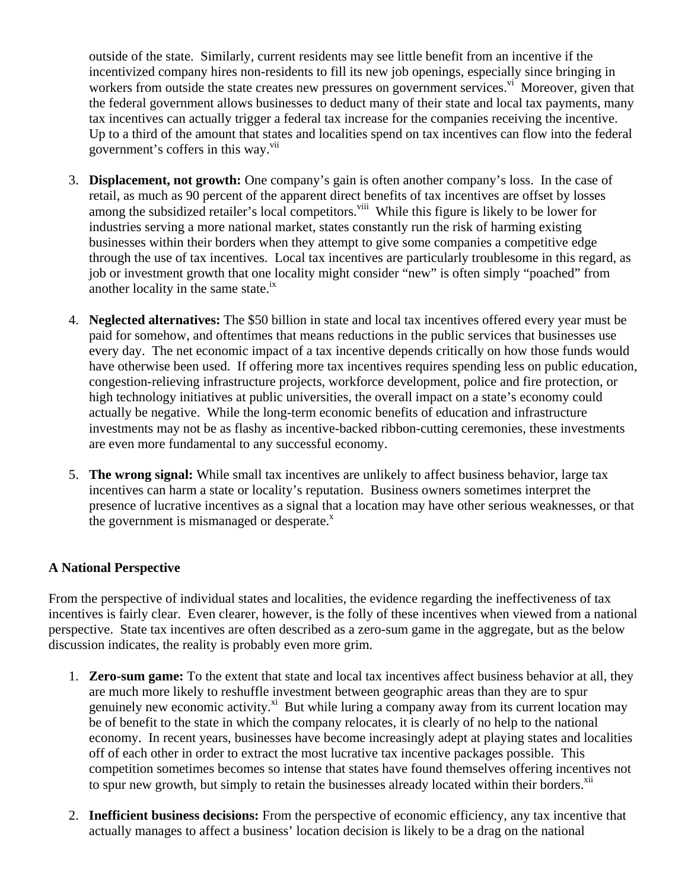outside of the state. Similarly, current residents may see little benefit from an incentive if the incentivized company hires non-residents to fill its new job openings, especially since bringing in workers from outside the state creates new pressures on government services.<sup>vi</sup> Moreover, given that the federal government allows businesses to deduct many of their state and local tax payments, many tax incentives can actually trigger a federal tax increase for the companies receiving the incentive. Up to a third of the amount that states and localities spend on tax incentives can flow into the federal government's coffers in this way.<sup>vii</sup>

- 3. **Displacement, not growth:** One company's gain is often another company's loss. In the case of retail, as much as 90 percent of the apparent direct benefits of tax incentives are offset by losses among the subsidized retailer's local competitors.<sup>viii</sup> While this figure is likely to be lower for industries serving a more national market, states constantly run the risk of harming existing businesses within their borders when they attempt to give some companies a competitive edge through the use of tax incentives. Local tax incentives are particularly troublesome in this regard, as job or investment growth that one locality might consider "new" is often simply "poached" from another locality in the same state. $i^x$
- 4. **Neglected alternatives:** The \$50 billion in state and local tax incentives offered every year must be paid for somehow, and oftentimes that means reductions in the public services that businesses use every day. The net economic impact of a tax incentive depends critically on how those funds would have otherwise been used. If offering more tax incentives requires spending less on public education, congestion-relieving infrastructure projects, workforce development, police and fire protection, or high technology initiatives at public universities, the overall impact on a state's economy could actually be negative. While the long-term economic benefits of education and infrastructure investments may not be as flashy as incentive-backed ribbon-cutting ceremonies, these investments are even more fundamental to any successful economy.
- 5. **The wrong signal:** While small tax incentives are unlikely to affect business behavior, large tax incentives can harm a state or locality's reputation. Business owners sometimes interpret the presence of lucrative incentives as a signal that a location may have other serious weaknesses, or that the government is mismanaged or desperate. $^x$

## **A National Perspective**

From the perspective of individual states and localities, the evidence regarding the ineffectiveness of tax incentives is fairly clear. Even clearer, however, is the folly of these incentives when viewed from a national perspective. State tax incentives are often described as a zero-sum game in the aggregate, but as the below discussion indicates, the reality is probably even more grim.

- 1. **Zero-sum game:** To the extent that state and local tax incentives affect business behavior at all, they are much more likely to reshuffle investment between geographic areas than they are to spur genuinely new economic activity.<sup>xi</sup> But while luring a company away from its current location may be of benefit to the state in which the company relocates, it is clearly of no help to the national economy. In recent years, businesses have become increasingly adept at playing states and localities off of each other in order to extract the most lucrative tax incentive packages possible. This competition sometimes becomes so intense that states have found themselves offering incentives not to spur new growth, but simply to retain the businesses already located within their borders.<sup>xii</sup>
- 2. **Inefficient business decisions:** From the perspective of economic efficiency, any tax incentive that actually manages to affect a business' location decision is likely to be a drag on the national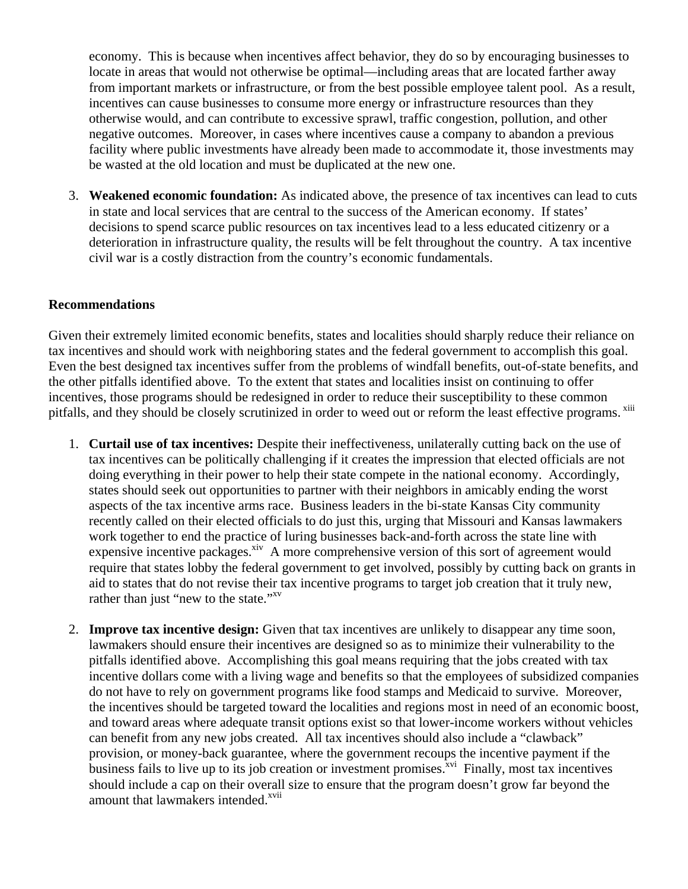economy. This is because when incentives affect behavior, they do so by encouraging businesses to locate in areas that would not otherwise be optimal—including areas that are located farther away from important markets or infrastructure, or from the best possible employee talent pool. As a result, incentives can cause businesses to consume more energy or infrastructure resources than they otherwise would, and can contribute to excessive sprawl, traffic congestion, pollution, and other negative outcomes. Moreover, in cases where incentives cause a company to abandon a previous facility where public investments have already been made to accommodate it, those investments may be wasted at the old location and must be duplicated at the new one.

3. **Weakened economic foundation:** As indicated above, the presence of tax incentives can lead to cuts in state and local services that are central to the success of the American economy. If states' decisions to spend scarce public resources on tax incentives lead to a less educated citizenry or a deterioration in infrastructure quality, the results will be felt throughout the country. A tax incentive civil war is a costly distraction from the country's economic fundamentals.

#### **Recommendations**

Given their extremely limited economic benefits, states and localities should sharply reduce their reliance on tax incentives and should work with neighboring states and the federal government to accomplish this goal. Even the best designed tax incentives suffer from the problems of windfall benefits, out-of-state benefits, and the other pitfalls identified above. To the extent that states and localities insist on continuing to offer incentives, those programs should be redesigned in order to reduce their susceptibility to these common pitfalls, and they should be closely scrutinized in order to weed out or reform the least effective programs. xiii

- 1. **Curtail use of tax incentives:** Despite their ineffectiveness, unilaterally cutting back on the use of tax incentives can be politically challenging if it creates the impression that elected officials are not doing everything in their power to help their state compete in the national economy. Accordingly, states should seek out opportunities to partner with their neighbors in amicably ending the worst aspects of the tax incentive arms race. Business leaders in the bi-state Kansas City community recently called on their elected officials to do just this, urging that Missouri and Kansas lawmakers work together to end the practice of luring businesses back-and-forth across the state line with expensive incentive packages.<sup>xiv</sup> A more comprehensive version of this sort of agreement would require that states lobby the federal government to get involved, possibly by cutting back on grants in aid to states that do not revise their tax incentive programs to target job creation that it truly new, rather than just "new to the state."<sup>xv</sup>
- 2. **Improve tax incentive design:** Given that tax incentives are unlikely to disappear any time soon, lawmakers should ensure their incentives are designed so as to minimize their vulnerability to the pitfalls identified above. Accomplishing this goal means requiring that the jobs created with tax incentive dollars come with a living wage and benefits so that the employees of subsidized companies do not have to rely on government programs like food stamps and Medicaid to survive. Moreover, the incentives should be targeted toward the localities and regions most in need of an economic boost, and toward areas where adequate transit options exist so that lower-income workers without vehicles can benefit from any new jobs created. All tax incentives should also include a "clawback" provision, or money-back guarantee, where the government recoups the incentive payment if the business fails to live up to its job creation or investment promises. $\frac{x}{x}$  Finally, most tax incentives should include a cap on their overall size to ensure that the program doesn't grow far beyond the amount that lawmakers intended.<sup>xvii</sup>